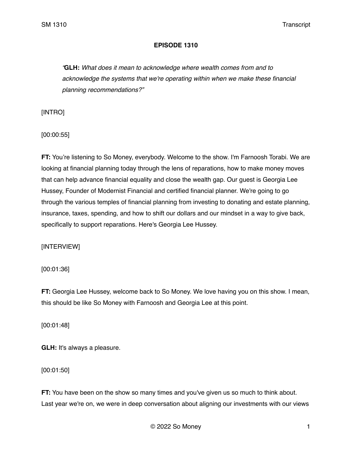# **EPISODE 1310**

*"***GLH:** *What does it mean to acknowledge where wealth comes from and to acknowledge the systems that we're operating within when we make these financial planning recommendations?"*

[INTRO]

[00:00:55]

**FT:** You're listening to So Money, everybody. Welcome to the show. I'm Farnoosh Torabi. We are looking at financial planning today through the lens of reparations, how to make money moves that can help advance financial equality and close the wealth gap. Our guest is Georgia Lee Hussey, Founder of Modernist Financial and certified financial planner. We're going to go through the various temples of financial planning from investing to donating and estate planning, insurance, taxes, spending, and how to shift our dollars and our mindset in a way to give back, specifically to support reparations. Here's Georgia Lee Hussey.

[INTERVIEW]

[00:01:36]

**FT:** Georgia Lee Hussey, welcome back to So Money. We love having you on this show. I mean, this should be like So Money with Farnoosh and Georgia Lee at this point.

[00:01:48]

**GLH:** It's always a pleasure.

[00:01:50]

**FT:** You have been on the show so many times and you've given us so much to think about. Last year we're on, we were in deep conversation about aligning our investments with our views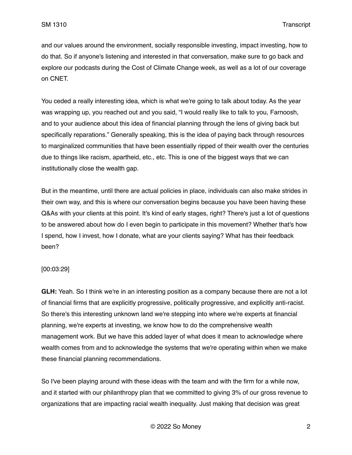and our values around the environment, socially responsible investing, impact investing, how to do that. So if anyone's listening and interested in that conversation, make sure to go back and explore our podcasts during the Cost of Climate Change week, as well as a lot of our coverage on CNET.

You ceded a really interesting idea, which is what we're going to talk about today. As the year was wrapping up, you reached out and you said, "I would really like to talk to you, Farnoosh, and to your audience about this idea of financial planning through the lens of giving back but specifically reparations." Generally speaking, this is the idea of paying back through resources to marginalized communities that have been essentially ripped of their wealth over the centuries due to things like racism, apartheid, etc., etc. This is one of the biggest ways that we can institutionally close the wealth gap.

But in the meantime, until there are actual policies in place, individuals can also make strides in their own way, and this is where our conversation begins because you have been having these Q&As with your clients at this point. It's kind of early stages, right? There's just a lot of questions to be answered about how do I even begin to participate in this movement? Whether that's how I spend, how I invest, how I donate, what are your clients saying? What has their feedback been?

### [00:03:29]

**GLH:** Yeah. So I think we're in an interesting position as a company because there are not a lot of financial firms that are explicitly progressive, politically progressive, and explicitly anti-racist. So there's this interesting unknown land we're stepping into where we're experts at financial planning, we're experts at investing, we know how to do the comprehensive wealth management work. But we have this added layer of what does it mean to acknowledge where wealth comes from and to acknowledge the systems that we're operating within when we make these financial planning recommendations.

So I've been playing around with these ideas with the team and with the firm for a while now, and it started with our philanthropy plan that we committed to giving 3% of our gross revenue to organizations that are impacting racial wealth inequality. Just making that decision was great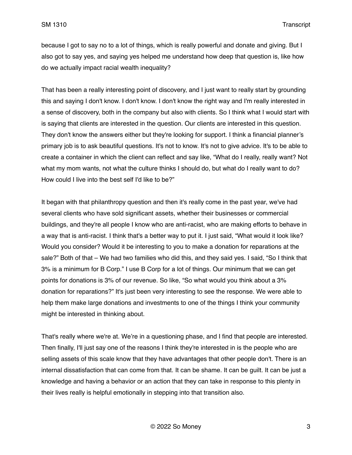because I got to say no to a lot of things, which is really powerful and donate and giving. But I also got to say yes, and saying yes helped me understand how deep that question is, like how do we actually impact racial wealth inequality?

That has been a really interesting point of discovery, and I just want to really start by grounding this and saying I don't know. I don't know. I don't know the right way and I'm really interested in a sense of discovery, both in the company but also with clients. So I think what I would start with is saying that clients are interested in the question. Our clients are interested in this question. They don't know the answers either but they're looking for support. I think a financial planner's primary job is to ask beautiful questions. It's not to know. It's not to give advice. It's to be able to create a container in which the client can reflect and say like, "What do I really, really want? Not what my mom wants, not what the culture thinks I should do, but what do I really want to do? How could I live into the best self I'd like to be?"

It began with that philanthropy question and then it's really come in the past year, we've had several clients who have sold significant assets, whether their businesses or commercial buildings, and they're all people I know who are anti-racist, who are making efforts to behave in a way that is anti-racist. I think that's a better way to put it. I just said, "What would it look like? Would you consider? Would it be interesting to you to make a donation for reparations at the sale?" Both of that – We had two families who did this, and they said yes. I said, "So I think that 3% is a minimum for B Corp." I use B Corp for a lot of things. Our minimum that we can get points for donations is 3% of our revenue. So like, "So what would you think about a 3% donation for reparations?" It's just been very interesting to see the response. We were able to help them make large donations and investments to one of the things I think your community might be interested in thinking about.

That's really where we're at. We're in a questioning phase, and I find that people are interested. Then finally, I'll just say one of the reasons I think they're interested in is the people who are selling assets of this scale know that they have advantages that other people don't. There is an internal dissatisfaction that can come from that. It can be shame. It can be guilt. It can be just a knowledge and having a behavior or an action that they can take in response to this plenty in their lives really is helpful emotionally in stepping into that transition also.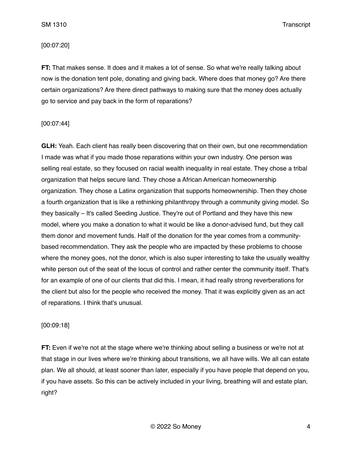### [00:07:20]

**FT:** That makes sense. It does and it makes a lot of sense. So what we're really talking about now is the donation tent pole, donating and giving back. Where does that money go? Are there certain organizations? Are there direct pathways to making sure that the money does actually go to service and pay back in the form of reparations?

### [00:07:44]

**GLH:** Yeah. Each client has really been discovering that on their own, but one recommendation I made was what if you made those reparations within your own industry. One person was selling real estate, so they focused on racial wealth inequality in real estate. They chose a tribal organization that helps secure land. They chose a African American homeownership organization. They chose a Latinx organization that supports homeownership. Then they chose a fourth organization that is like a rethinking philanthropy through a community giving model. So they basically – It's called Seeding Justice. They're out of Portland and they have this new model, where you make a donation to what it would be like a donor-advised fund, but they call them donor and movement funds. Half of the donation for the year comes from a communitybased recommendation. They ask the people who are impacted by these problems to choose where the money goes, not the donor, which is also super interesting to take the usually wealthy white person out of the seat of the locus of control and rather center the community itself. That's for an example of one of our clients that did this. I mean, it had really strong reverberations for the client but also for the people who received the money. That it was explicitly given as an act of reparations. I think that's unusual.

## [00:09:18]

**FT:** Even if we're not at the stage where we're thinking about selling a business or we're not at that stage in our lives where we're thinking about transitions, we all have wills. We all can estate plan. We all should, at least sooner than later, especially if you have people that depend on you, if you have assets. So this can be actively included in your living, breathing will and estate plan, right?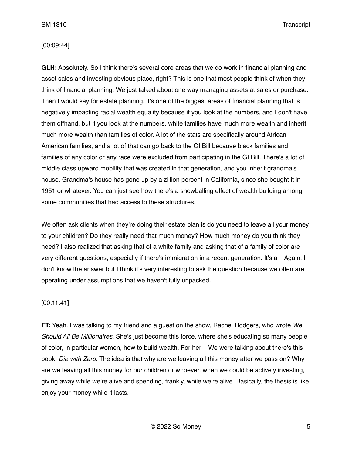### [00:09:44]

**GLH:** Absolutely. So I think there's several core areas that we do work in financial planning and asset sales and investing obvious place, right? This is one that most people think of when they think of financial planning. We just talked about one way managing assets at sales or purchase. Then I would say for estate planning, it's one of the biggest areas of financial planning that is negatively impacting racial wealth equality because if you look at the numbers, and I don't have them offhand, but if you look at the numbers, white families have much more wealth and inherit much more wealth than families of color. A lot of the stats are specifically around African American families, and a lot of that can go back to the GI Bill because black families and families of any color or any race were excluded from participating in the GI Bill. There's a lot of middle class upward mobility that was created in that generation, and you inherit grandma's house. Grandma's house has gone up by a zillion percent in California, since she bought it in 1951 or whatever. You can just see how there's a snowballing effect of wealth building among some communities that had access to these structures.

We often ask clients when they're doing their estate plan is do you need to leave all your money to your children? Do they really need that much money? How much money do you think they need? I also realized that asking that of a white family and asking that of a family of color are very different questions, especially if there's immigration in a recent generation. It's a – Again, I don't know the answer but I think it's very interesting to ask the question because we often are operating under assumptions that we haven't fully unpacked.

## [00:11:41]

**FT:** Yeah. I was talking to my friend and a guest on the show, Rachel Rodgers, who wrote *We Should All Be Millionaires*. She's just become this force, where she's educating so many people of color, in particular women, how to build wealth. For her – We were talking about there's this book*, Die with Zero*. The idea is that why are we leaving all this money after we pass on? Why are we leaving all this money for our children or whoever, when we could be actively investing, giving away while we're alive and spending, frankly, while we're alive. Basically, the thesis is like enjoy your money while it lasts.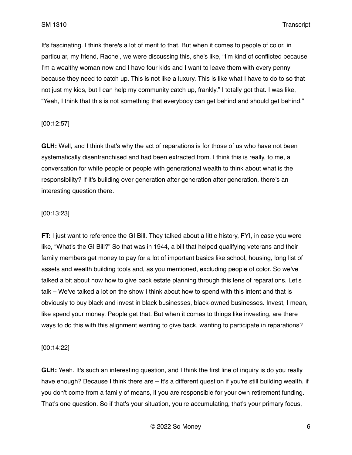It's fascinating. I think there's a lot of merit to that. But when it comes to people of color, in particular, my friend, Rachel, we were discussing this, she's like, "I'm kind of conflicted because I'm a wealthy woman now and I have four kids and I want to leave them with every penny because they need to catch up. This is not like a luxury. This is like what I have to do to so that not just my kids, but I can help my community catch up, frankly." I totally got that. I was like, "Yeah, I think that this is not something that everybody can get behind and should get behind."

## [00:12:57]

**GLH:** Well, and I think that's why the act of reparations is for those of us who have not been systematically disenfranchised and had been extracted from. I think this is really, to me, a conversation for white people or people with generational wealth to think about what is the responsibility? If it's building over generation after generation after generation, there's an interesting question there.

## [00:13:23]

**FT:** I just want to reference the GI Bill. They talked about a little history, FYI, in case you were like, "What's the GI Bill?" So that was in 1944, a bill that helped qualifying veterans and their family members get money to pay for a lot of important basics like school, housing, long list of assets and wealth building tools and, as you mentioned, excluding people of color. So we've talked a bit about now how to give back estate planning through this lens of reparations. Let's talk – We've talked a lot on the show I think about how to spend with this intent and that is obviously to buy black and invest in black businesses, black-owned businesses. Invest, I mean, like spend your money. People get that. But when it comes to things like investing, are there ways to do this with this alignment wanting to give back, wanting to participate in reparations?

### [00:14:22]

**GLH:** Yeah. It's such an interesting question, and I think the first line of inquiry is do you really have enough? Because I think there are – It's a different question if you're still building wealth, if you don't come from a family of means, if you are responsible for your own retirement funding. That's one question. So if that's your situation, you're accumulating, that's your primary focus,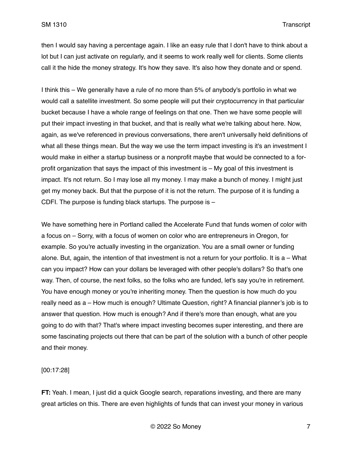then I would say having a percentage again. I like an easy rule that I don't have to think about a lot but I can just activate on regularly, and it seems to work really well for clients. Some clients call it the hide the money strategy. It's how they save. It's also how they donate and or spend.

I think this – We generally have a rule of no more than 5% of anybody's portfolio in what we would call a satellite investment. So some people will put their cryptocurrency in that particular bucket because I have a whole range of feelings on that one. Then we have some people will put their impact investing in that bucket, and that is really what we're talking about here. Now, again, as we've referenced in previous conversations, there aren't universally held definitions of what all these things mean. But the way we use the term impact investing is it's an investment I would make in either a startup business or a nonprofit maybe that would be connected to a forprofit organization that says the impact of this investment is – My goal of this investment is impact. It's not return. So I may lose all my money. I may make a bunch of money. I might just get my money back. But that the purpose of it is not the return. The purpose of it is funding a CDFI. The purpose is funding black startups. The purpose is –

We have something here in Portland called the Accelerate Fund that funds women of color with a focus on – Sorry, with a focus of women on color who are entrepreneurs in Oregon, for example. So you're actually investing in the organization. You are a small owner or funding alone. But, again, the intention of that investment is not a return for your portfolio. It is a – What can you impact? How can your dollars be leveraged with other people's dollars? So that's one way. Then, of course, the next folks, so the folks who are funded, let's say you're in retirement. You have enough money or you're inheriting money. Then the question is how much do you really need as a – How much is enough? Ultimate Question, right? A financial planner's job is to answer that question. How much is enough? And if there's more than enough, what are you going to do with that? That's where impact investing becomes super interesting, and there are some fascinating projects out there that can be part of the solution with a bunch of other people and their money.

[00:17:28]

**FT:** Yeah. I mean, I just did a quick Google search, reparations investing, and there are many great articles on this. There are even highlights of funds that can invest your money in various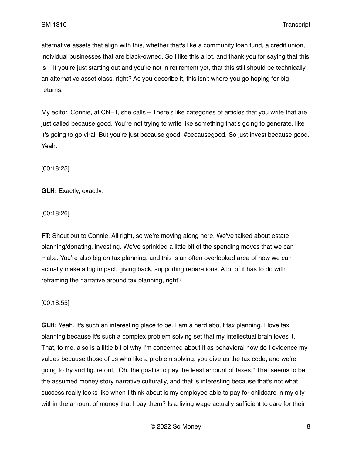alternative assets that align with this, whether that's like a community loan fund, a credit union, individual businesses that are black-owned. So I like this a lot, and thank you for saying that this is – If you're just starting out and you're not in retirement yet, that this still should be technically an alternative asset class, right? As you describe it, this isn't where you go hoping for big returns.

My editor, Connie, at CNET, she calls – There's like categories of articles that you write that are just called because good. You're not trying to write like something that's going to generate, like it's going to go viral. But you're just because good, #becausegood. So just invest because good. Yeah.

[00:18:25]

**GLH:** Exactly, exactly.

[00:18:26]

**FT:** Shout out to Connie. All right, so we're moving along here. We've talked about estate planning/donating, investing. We've sprinkled a little bit of the spending moves that we can make. You're also big on tax planning, and this is an often overlooked area of how we can actually make a big impact, giving back, supporting reparations. A lot of it has to do with reframing the narrative around tax planning, right?

[00:18:55]

**GLH:** Yeah. It's such an interesting place to be. I am a nerd about tax planning. I love tax planning because it's such a complex problem solving set that my intellectual brain loves it. That, to me, also is a little bit of why I'm concerned about it as behavioral how do I evidence my values because those of us who like a problem solving, you give us the tax code, and we're going to try and figure out, "Oh, the goal is to pay the least amount of taxes." That seems to be the assumed money story narrative culturally, and that is interesting because that's not what success really looks like when I think about is my employee able to pay for childcare in my city within the amount of money that I pay them? Is a living wage actually sufficient to care for their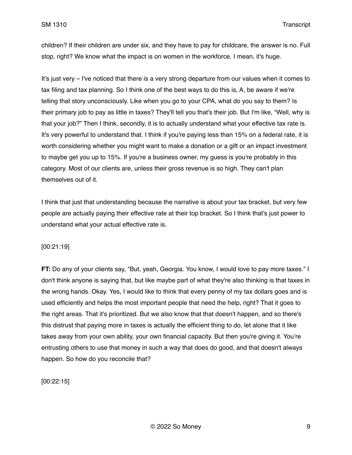children? If their children are under six, and they have to pay for childcare, the answer is no. Full stop, right? We know what the impact is on women in the workforce. I mean, it's huge.

It's just very – I've noticed that there is a very strong departure from our values when it comes to tax filing and tax planning. So I think one of the best ways to do this is, A, be aware if we're telling that story unconsciously. Like when you go to your CPA, what do you say to them? Is their primary job to pay as little in taxes? They'll tell you that's their job. But I'm like, "Well, why is that your job?" Then I think, secondly, it is to actually understand what your effective tax rate is. It's very powerful to understand that. I think if you're paying less than 15% on a federal rate, it is worth considering whether you might want to make a donation or a gift or an impact investment to maybe get you up to 15%. If you're a business owner, my guess is you're probably in this category. Most of our clients are, unless their gross revenue is so high. They can't plan themselves out of it.

I think that just that understanding because the narrative is about your tax bracket, but very few people are actually paying their effective rate at their top bracket. So I think that's just power to understand what your actual effective rate is.

### [00:21:19]

**FT:** Do any of your clients say, "But, yeah, Georgia. You know, I would love to pay more taxes." I don't think anyone is saying that, but like maybe part of what they're also thinking is that taxes in the wrong hands. Okay. Yes, I would like to think that every penny of my tax dollars goes and is used efficiently and helps the most important people that need the help, right? That it goes to the right areas. That it's prioritized. But we also know that that doesn't happen, and so there's this distrust that paying more in taxes is actually the efficient thing to do, let alone that it like takes away from your own ability, your own financial capacity. But then you're giving it. You're entrusting others to use that money in such a way that does do good, and that doesn't always happen. So how do you reconcile that?

[00:22:15]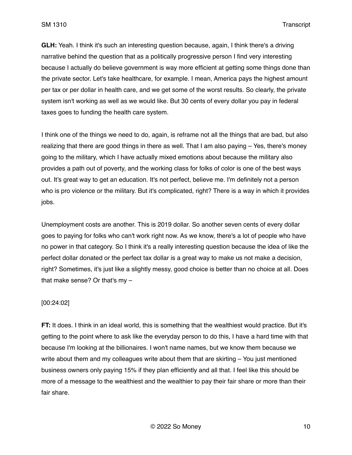**GLH:** Yeah. I think it's such an interesting question because, again, I think there's a driving narrative behind the question that as a politically progressive person I find very interesting because I actually do believe government is way more efficient at getting some things done than the private sector. Let's take healthcare, for example. I mean, America pays the highest amount per tax or per dollar in health care, and we get some of the worst results. So clearly, the private system isn't working as well as we would like. But 30 cents of every dollar you pay in federal taxes goes to funding the health care system.

I think one of the things we need to do, again, is reframe not all the things that are bad, but also realizing that there are good things in there as well. That I am also paying – Yes, there's money going to the military, which I have actually mixed emotions about because the military also provides a path out of poverty, and the working class for folks of color is one of the best ways out. It's great way to get an education. It's not perfect, believe me. I'm definitely not a person who is pro violence or the military. But it's complicated, right? There is a way in which it provides jobs.

Unemployment costs are another. This is 2019 dollar. So another seven cents of every dollar goes to paying for folks who can't work right now. As we know, there's a lot of people who have no power in that category. So I think it's a really interesting question because the idea of like the perfect dollar donated or the perfect tax dollar is a great way to make us not make a decision, right? Sometimes, it's just like a slightly messy, good choice is better than no choice at all. Does that make sense? Or that's my –

### [00:24:02]

**FT:** It does. I think in an ideal world, this is something that the wealthiest would practice. But it's getting to the point where to ask like the everyday person to do this, I have a hard time with that because I'm looking at the billionaires. I won't name names, but we know them because we write about them and my colleagues write about them that are skirting – You just mentioned business owners only paying 15% if they plan efficiently and all that. I feel like this should be more of a message to the wealthiest and the wealthier to pay their fair share or more than their fair share.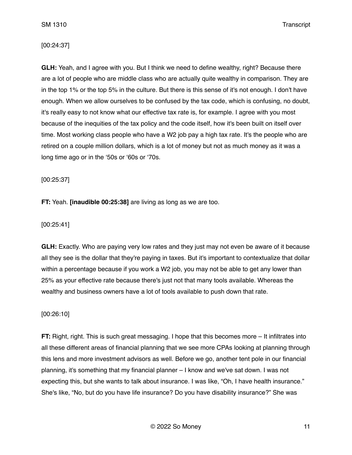### [00:24:37]

**GLH:** Yeah, and I agree with you. But I think we need to define wealthy, right? Because there are a lot of people who are middle class who are actually quite wealthy in comparison. They are in the top 1% or the top 5% in the culture. But there is this sense of it's not enough. I don't have enough. When we allow ourselves to be confused by the tax code, which is confusing, no doubt, it's really easy to not know what our effective tax rate is, for example. I agree with you most because of the inequities of the tax policy and the code itself, how it's been built on itself over time. Most working class people who have a W2 job pay a high tax rate. It's the people who are retired on a couple million dollars, which is a lot of money but not as much money as it was a long time ago or in the '50s or '60s or '70s.

[00:25:37]

**FT:** Yeah. **[inaudible 00:25:38]** are living as long as we are too.

[00:25:41]

**GLH:** Exactly. Who are paying very low rates and they just may not even be aware of it because all they see is the dollar that they're paying in taxes. But it's important to contextualize that dollar within a percentage because if you work a W2 job, you may not be able to get any lower than 25% as your effective rate because there's just not that many tools available. Whereas the wealthy and business owners have a lot of tools available to push down that rate.

[00:26:10]

**FT:** Right, right. This is such great messaging. I hope that this becomes more – It infiltrates into all these different areas of financial planning that we see more CPAs looking at planning through this lens and more investment advisors as well. Before we go, another tent pole in our financial planning, it's something that my financial planner – I know and we've sat down. I was not expecting this, but she wants to talk about insurance. I was like, "Oh, I have health insurance." She's like, "No, but do you have life insurance? Do you have disability insurance?" She was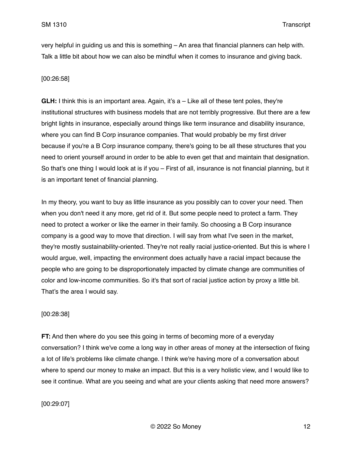very helpful in guiding us and this is something – An area that financial planners can help with. Talk a little bit about how we can also be mindful when it comes to insurance and giving back.

# [00:26:58]

**GLH:** I think this is an important area. Again, it's a – Like all of these tent poles, they're institutional structures with business models that are not terribly progressive. But there are a few bright lights in insurance, especially around things like term insurance and disability insurance, where you can find B Corp insurance companies. That would probably be my first driver because if you're a B Corp insurance company, there's going to be all these structures that you need to orient yourself around in order to be able to even get that and maintain that designation. So that's one thing I would look at is if you – First of all, insurance is not financial planning, but it is an important tenet of financial planning.

In my theory, you want to buy as little insurance as you possibly can to cover your need. Then when you don't need it any more, get rid of it. But some people need to protect a farm. They need to protect a worker or like the earner in their family. So choosing a B Corp insurance company is a good way to move that direction. I will say from what I've seen in the market, they're mostly sustainability-oriented. They're not really racial justice-oriented. But this is where I would argue, well, impacting the environment does actually have a racial impact because the people who are going to be disproportionately impacted by climate change are communities of color and low-income communities. So it's that sort of racial justice action by proxy a little bit. That's the area I would say.

# [00:28:38]

**FT:** And then where do you see this going in terms of becoming more of a everyday conversation? I think we've come a long way in other areas of money at the intersection of fixing a lot of life's problems like climate change. I think we're having more of a conversation about where to spend our money to make an impact. But this is a very holistic view, and I would like to see it continue. What are you seeing and what are your clients asking that need more answers?

# [00:29:07]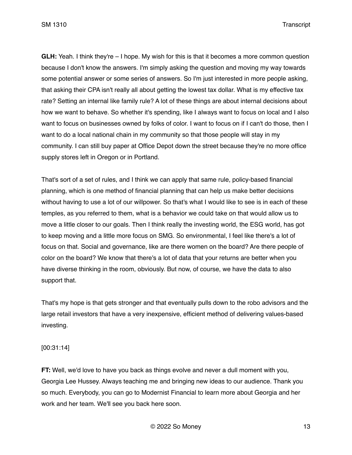**GLH:** Yeah. I think they're – I hope. My wish for this is that it becomes a more common question because I don't know the answers. I'm simply asking the question and moving my way towards some potential answer or some series of answers. So I'm just interested in more people asking, that asking their CPA isn't really all about getting the lowest tax dollar. What is my effective tax rate? Setting an internal like family rule? A lot of these things are about internal decisions about how we want to behave. So whether it's spending, like I always want to focus on local and I also want to focus on businesses owned by folks of color. I want to focus on if I can't do those, then I want to do a local national chain in my community so that those people will stay in my community. I can still buy paper at Office Depot down the street because they're no more office supply stores left in Oregon or in Portland.

That's sort of a set of rules, and I think we can apply that same rule, policy-based financial planning, which is one method of financial planning that can help us make better decisions without having to use a lot of our willpower. So that's what I would like to see is in each of these temples, as you referred to them, what is a behavior we could take on that would allow us to move a little closer to our goals. Then I think really the investing world, the ESG world, has got to keep moving and a little more focus on SMG. So environmental, I feel like there's a lot of focus on that. Social and governance, like are there women on the board? Are there people of color on the board? We know that there's a lot of data that your returns are better when you have diverse thinking in the room, obviously. But now, of course, we have the data to also support that.

That's my hope is that gets stronger and that eventually pulls down to the robo advisors and the large retail investors that have a very inexpensive, efficient method of delivering values-based investing.

[00:31:14]

**FT:** Well, we'd love to have you back as things evolve and never a dull moment with you, Georgia Lee Hussey. Always teaching me and bringing new ideas to our audience. Thank you so much. Everybody, you can go to Modernist Financial to learn more about Georgia and her work and her team. We'll see you back here soon.